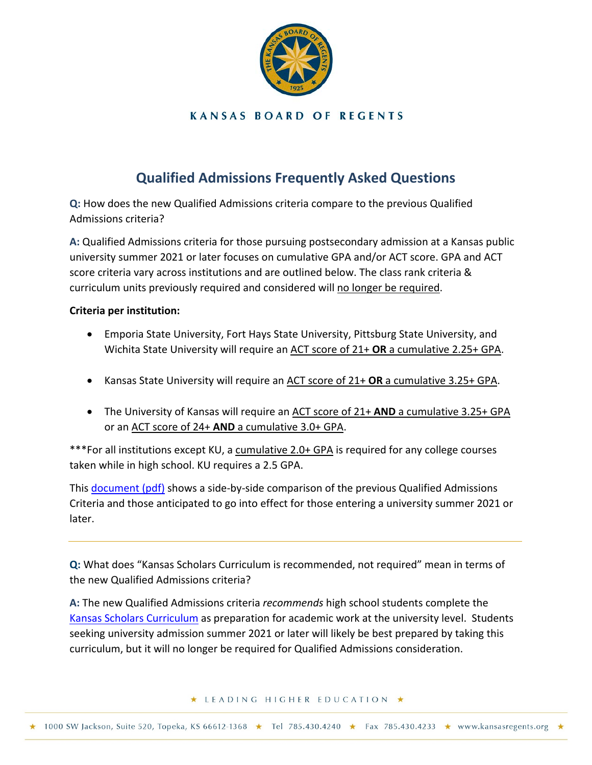

## **KANSAS BOARD OF REGENTS**

## **Qualified Admissions Frequently Asked Questions**

**Q:** How does the new Qualified Admissions criteria compare to the previous Qualified Admissions criteria?

**A:** Qualified Admissions criteria for those pursuing postsecondary admission at a Kansas public university summer 2021 or later focuses on cumulative GPA and/or ACT score. GPA and ACT score criteria vary across institutions and are outlined below. The class rank criteria & curriculum units previously required and considered will no longer be required.

## **Criteria per institution:**

- Emporia State University, Fort Hays State University, Pittsburg State University, and Wichita State University will require an ACT score of 21+ **OR** a cumulative 2.25+ GPA.
- Kansas State University will require an ACT score of 21+ **OR** a cumulative 3.25+ GPA.
- The University of Kansas will require an ACT score of 21+ **AND** a cumulative 3.25+ GPA or an ACT score of 24+ **AND** a cumulative 3.0+ GPA.

\*\*\*For all institutions except KU, a cumulative 2.0+ GPA is required for any college courses taken while in high school. KU requires a 2.5 GPA.

This [document](https://www.kansasregents.org/resources/PDF/Academic_Affairs/Qualified_Admissions/QAforKSDE.pdf) (pdf) shows a side-by-side comparison of the previous Qualified Admissions Criteria and those anticipated to go into effect for those entering a university summer 2021 or later.

**Q:** What does "Kansas Scholars Curriculum is recommended, not required" mean in terms of the new Qualified Admissions criteria?

**A:** The new Qualified Admissions criteria *recommends* high school students complete the [Kansas Scholars Curriculum](https://www.kansasregents.org/students/student_financial_aid/kansas_scholars_curriculum) as preparation for academic work at the university level. Students seeking university admission summer 2021 or later will likely be best prepared by taking this curriculum, but it will no longer be required for Qualified Admissions consideration.

★ LEADING HIGHER EDUCATION ★